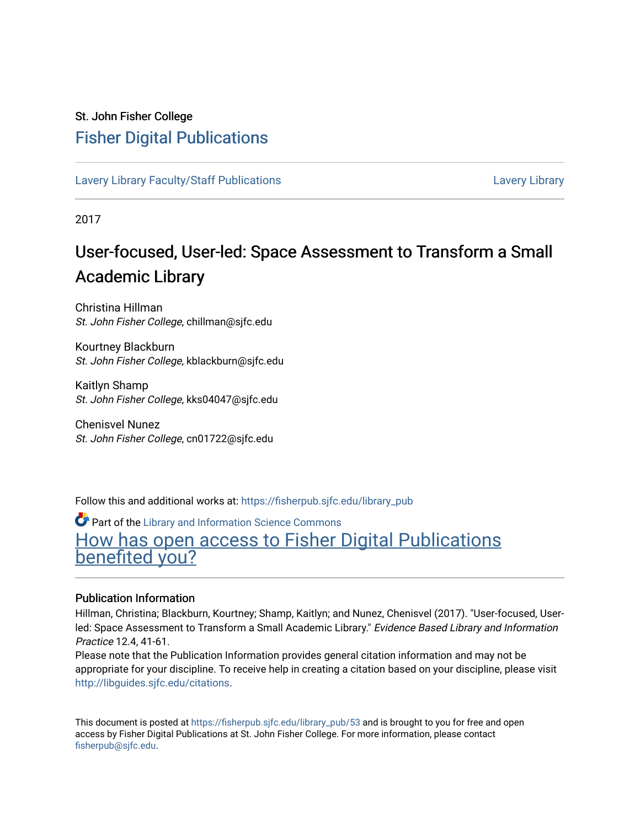## St. John Fisher College [Fisher Digital Publications](https://fisherpub.sjfc.edu/)

[Lavery Library Faculty/Staff Publications](https://fisherpub.sjfc.edu/library_pub) [Lavery Library](https://fisherpub.sjfc.edu/library) Lavery Library

2017

# User-focused, User-led: Space Assessment to Transform a Small Academic Library

Christina Hillman St. John Fisher College, chillman@sjfc.edu

Kourtney Blackburn St. John Fisher College, kblackburn@sjfc.edu

Kaitlyn Shamp St. John Fisher College, kks04047@sjfc.edu

Chenisvel Nunez St. John Fisher College, cn01722@sjfc.edu

Follow this and additional works at: [https://fisherpub.sjfc.edu/library\\_pub](https://fisherpub.sjfc.edu/library_pub?utm_source=fisherpub.sjfc.edu%2Flibrary_pub%2F53&utm_medium=PDF&utm_campaign=PDFCoverPages)

Part of the [Library and Information Science Commons](http://network.bepress.com/hgg/discipline/1018?utm_source=fisherpub.sjfc.edu%2Flibrary_pub%2F53&utm_medium=PDF&utm_campaign=PDFCoverPages)  [How has open access to Fisher Digital Publications](https://docs.google.com/forms/d/14zrnDfH9d1wcdq8oG_-gFabAsxfcH5claltx85ZWyTg/viewform?entry.1394608989=https://fisherpub.sjfc.edu/library_pub/53%3Chttps://docs.google.com/forms/d/14zrnDfH9d1wcdq8oG_-gFabAsxfcH5claltx85ZWyTg/viewform?entry.1394608989=%7bhttps://fisherpub.sjfc.edu/library_pub/53%7d) [benefited you?](https://docs.google.com/forms/d/14zrnDfH9d1wcdq8oG_-gFabAsxfcH5claltx85ZWyTg/viewform?entry.1394608989=https://fisherpub.sjfc.edu/library_pub/53%3Chttps://docs.google.com/forms/d/14zrnDfH9d1wcdq8oG_-gFabAsxfcH5claltx85ZWyTg/viewform?entry.1394608989=%7bhttps://fisherpub.sjfc.edu/library_pub/53%7d)

### Publication Information

Hillman, Christina; Blackburn, Kourtney; Shamp, Kaitlyn; and Nunez, Chenisvel (2017). "User-focused, Userled: Space Assessment to Transform a Small Academic Library." Evidence Based Library and Information Practice 12.4, 41-61.

Please note that the Publication Information provides general citation information and may not be appropriate for your discipline. To receive help in creating a citation based on your discipline, please visit [http://libguides.sjfc.edu/citations.](http://libguides.sjfc.edu/citations)

This document is posted at [https://fisherpub.sjfc.edu/library\\_pub/53](https://fisherpub.sjfc.edu/library_pub/53) and is brought to you for free and open access by Fisher Digital Publications at St. John Fisher College. For more information, please contact [fisherpub@sjfc.edu](mailto:fisherpub@sjfc.edu).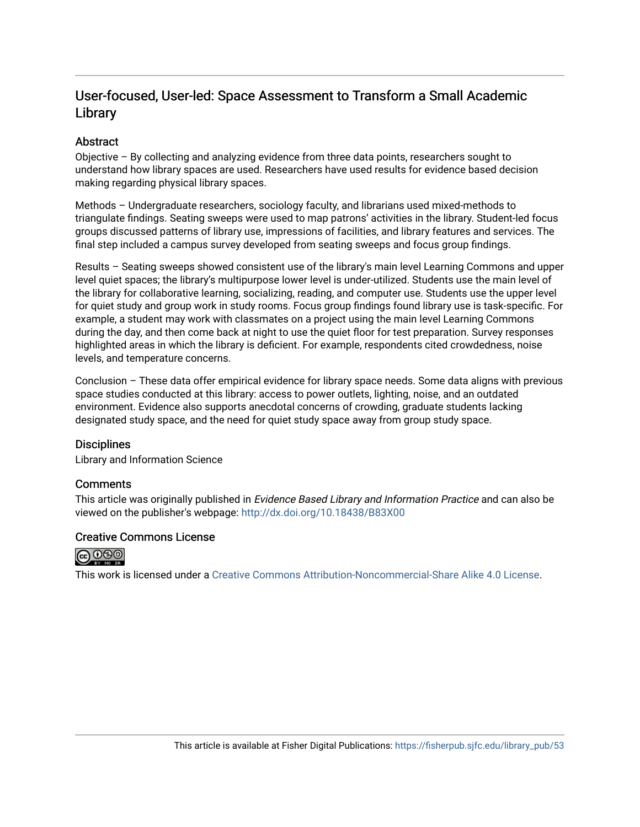## User-focused, User-led: Space Assessment to Transform a Small Academic Library

## **Abstract**

Objective – By collecting and analyzing evidence from three data points, researchers sought to understand how library spaces are used. Researchers have used results for evidence based decision making regarding physical library spaces.

Methods – Undergraduate researchers, sociology faculty, and librarians used mixed-methods to triangulate findings. Seating sweeps were used to map patrons' activities in the library. Student-led focus groups discussed patterns of library use, impressions of facilities, and library features and services. The final step included a campus survey developed from seating sweeps and focus group findings.

Results – Seating sweeps showed consistent use of the library's main level Learning Commons and upper level quiet spaces; the library's multipurpose lower level is under-utilized. Students use the main level of the library for collaborative learning, socializing, reading, and computer use. Students use the upper level for quiet study and group work in study rooms. Focus group findings found library use is task-specific. For example, a student may work with classmates on a project using the main level Learning Commons during the day, and then come back at night to use the quiet floor for test preparation. Survey responses highlighted areas in which the library is deficient. For example, respondents cited crowdedness, noise levels, and temperature concerns.

Conclusion – These data offer empirical evidence for library space needs. Some data aligns with previous space studies conducted at this library: access to power outlets, lighting, noise, and an outdated environment. Evidence also supports anecdotal concerns of crowding, graduate students lacking designated study space, and the need for quiet study space away from group study space.

### **Disciplines**

Library and Information Science

### **Comments**

This article was originally published in Evidence Based Library and Information Practice and can also be viewed on the publisher's webpage: <http://dx.doi.org/10.18438/B83X00>

### Creative Commons License



This work is licensed under a [Creative Commons Attribution-Noncommercial-Share Alike 4.0 License](https://creativecommons.org/licenses/by-nc-sa/4.0/).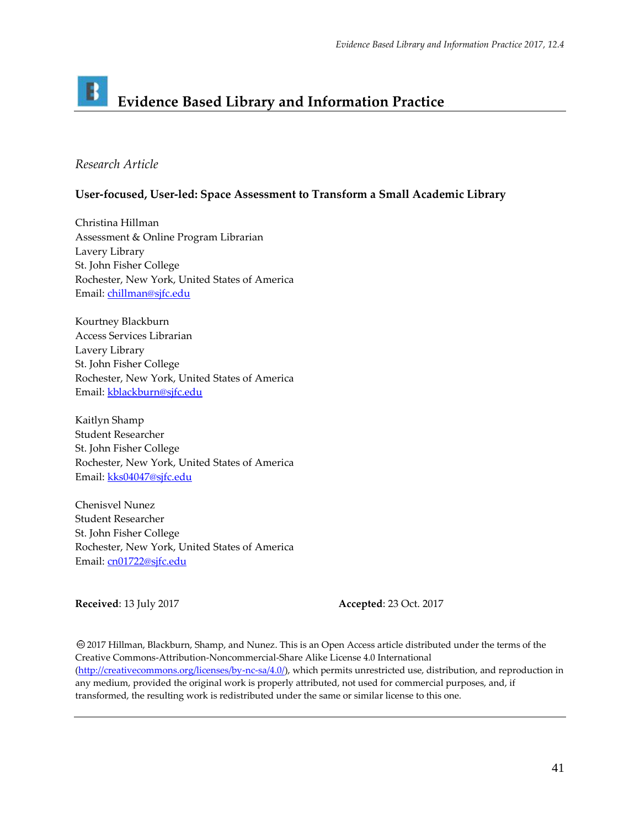## B **Evidence Based Library and Information Practice**

*Research Article*

### **User-focused, User-led: Space Assessment to Transform a Small Academic Library**

Christina Hillman Assessment & Online Program Librarian Lavery Library St. John Fisher College Rochester, New York, United States of America Email: [chillman@sjfc.edu](mailto:chillman@sjfc.edu) 

Kourtney Blackburn Access Services Librarian Lavery Library St. John Fisher College Rochester, New York, United States of America Email: [kblackburn@sjfc.edu](mailto:kblackburn@sjfc.edu)

Kaitlyn Shamp Student Researcher St. John Fisher College Rochester, New York, United States of America Email: [kks04047@sjfc.edu](mailto:kks04047@sjfc.edu)

Chenisvel Nunez Student Researcher St. John Fisher College Rochester, New York, United States of America Email: [cn01722@sjfc.edu](mailto:cn01722@sjfc.edu)

**Received**: 13 July 2017 **Accepted**: 23 Oct. 2017

2017 Hillman, Blackburn, Shamp, and Nunez. This is an Open Access article distributed under the terms of the Creative Commons‐Attribution‐Noncommercial‐Share Alike License 4.0 International [\(http://creativecommons.org/licenses/by-nc-sa/4.0/\)](http://creativecommons.org/licenses/by-nc-sa/4.0/), which permits unrestricted use, distribution, and reproduction in any medium, provided the original work is properly attributed, not used for commercial purposes, and, if transformed, the resulting work is redistributed under the same or similar license to this one.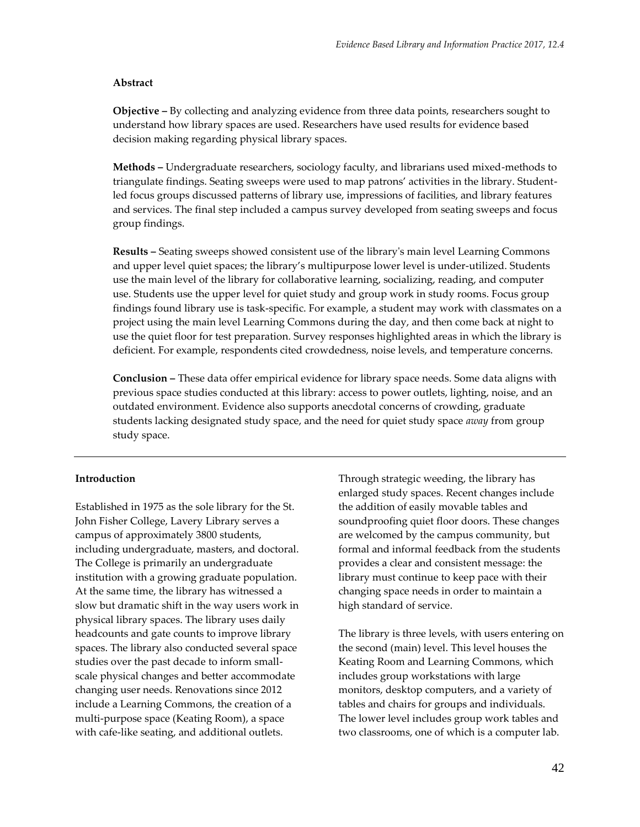#### **Abstract**

**Objective –** By collecting and analyzing evidence from three data points, researchers sought to understand how library spaces are used. Researchers have used results for evidence based decision making regarding physical library spaces.

**Methods –** Undergraduate researchers, sociology faculty, and librarians used mixed-methods to triangulate findings. Seating sweeps were used to map patrons' activities in the library. Studentled focus groups discussed patterns of library use, impressions of facilities, and library features and services. The final step included a campus survey developed from seating sweeps and focus group findings.

**Results –** Seating sweeps showed consistent use of the library's main level Learning Commons and upper level quiet spaces; the library's multipurpose lower level is under-utilized. Students use the main level of the library for collaborative learning, socializing, reading, and computer use. Students use the upper level for quiet study and group work in study rooms. Focus group findings found library use is task-specific. For example, a student may work with classmates on a project using the main level Learning Commons during the day, and then come back at night to use the quiet floor for test preparation. Survey responses highlighted areas in which the library is deficient. For example, respondents cited crowdedness, noise levels, and temperature concerns.

**Conclusion –** These data offer empirical evidence for library space needs. Some data aligns with previous space studies conducted at this library: access to power outlets, lighting, noise, and an outdated environment. Evidence also supports anecdotal concerns of crowding, graduate students lacking designated study space, and the need for quiet study space *away* from group study space.

#### **Introduction**

Established in 1975 as the sole library for the St. John Fisher College, Lavery Library serves a campus of approximately 3800 students, including undergraduate, masters, and doctoral. The College is primarily an undergraduate institution with a growing graduate population. At the same time, the library has witnessed a slow but dramatic shift in the way users work in physical library spaces. The library uses daily headcounts and gate counts to improve library spaces. The library also conducted several space studies over the past decade to inform smallscale physical changes and better accommodate changing user needs. Renovations since 2012 include a Learning Commons, the creation of a multi-purpose space (Keating Room), a space with cafe-like seating, and additional outlets.

Through strategic weeding, the library has enlarged study spaces. Recent changes include the addition of easily movable tables and soundproofing quiet floor doors. These changes are welcomed by the campus community, but formal and informal feedback from the students provides a clear and consistent message: the library must continue to keep pace with their changing space needs in order to maintain a high standard of service.

The library is three levels, with users entering on the second (main) level. This level houses the Keating Room and Learning Commons, which includes group workstations with large monitors, desktop computers, and a variety of tables and chairs for groups and individuals. The lower level includes group work tables and two classrooms, one of which is a computer lab.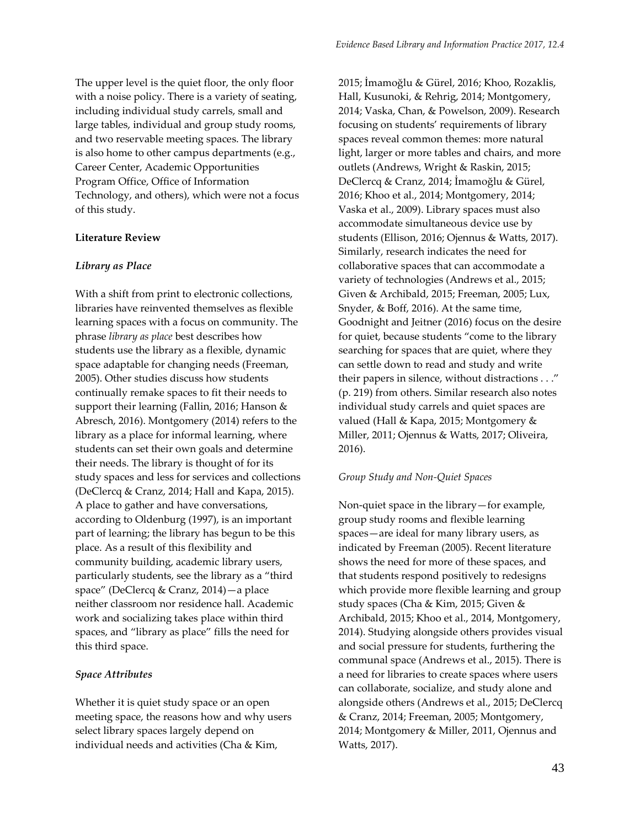The upper level is the quiet floor, the only floor with a noise policy. There is a variety of seating, including individual study carrels, small and large tables, individual and group study rooms, and two reservable meeting spaces. The library is also home to other campus departments (e.g., Career Center, Academic Opportunities Program Office, Office of Information Technology, and others), which were not a focus of this study.

#### **Literature Review**

#### *Library as Place*

With a shift from print to electronic collections, libraries have reinvented themselves as flexible learning spaces with a focus on community. The phrase *library as place* best describes how students use the library as a flexible, dynamic space adaptable for changing needs (Freeman, 2005). Other studies discuss how students continually remake spaces to fit their needs to support their learning (Fallin, 2016; Hanson & Abresch, 2016). Montgomery (2014) refers to the library as a place for informal learning, where students can set their own goals and determine their needs. The library is thought of for its study spaces and less for services and collections (DeClercq & Cranz, 2014; Hall and Kapa, 2015). A place to gather and have conversations, according to Oldenburg (1997), is an important part of learning; the library has begun to be this place. As a result of this flexibility and community building, academic library users, particularly students, see the library as a "third space" (DeClercq & Cranz, 2014)—a place neither classroom nor residence hall. Academic work and socializing takes place within third spaces, and "library as place" fills the need for this third space.

#### *Space Attributes*

Whether it is quiet study space or an open meeting space, the reasons how and why users select library spaces largely depend on individual needs and activities (Cha & Kim,

2015; İmamoğlu & Gürel, 2016; Khoo, Rozaklis, Hall, Kusunoki, & Rehrig, 2014; Montgomery, 2014; Vaska, Chan, & Powelson, 2009). Research focusing on students' requirements of library spaces reveal common themes: more natural light, larger or more tables and chairs, and more outlets (Andrews, Wright & Raskin, 2015; DeClercq & Cranz, 2014; İmamoğlu & Gürel, 2016; Khoo et al., 2014; Montgomery, 2014; Vaska et al., 2009). Library spaces must also accommodate simultaneous device use by students (Ellison, 2016; Ojennus & Watts, 2017). Similarly, research indicates the need for collaborative spaces that can accommodate a variety of technologies (Andrews et al., 2015; Given & Archibald, 2015; Freeman, 2005; Lux, Snyder, & Boff, 2016). At the same time, Goodnight and Jeitner (2016) focus on the desire for quiet, because students "come to the library searching for spaces that are quiet, where they can settle down to read and study and write their papers in silence, without distractions . . ." (p. 219) from others. Similar research also notes individual study carrels and quiet spaces are valued (Hall & Kapa, 2015; Montgomery & Miller, 2011; Ojennus & Watts, 2017; Oliveira, 2016).

#### *Group Study and Non-Quiet Spaces*

Non-quiet space in the library—for example, group study rooms and flexible learning spaces—are ideal for many library users, as indicated by Freeman (2005). Recent literature shows the need for more of these spaces, and that students respond positively to redesigns which provide more flexible learning and group study spaces (Cha & Kim, 2015; Given & Archibald, 2015; Khoo et al., 2014, Montgomery, 2014). Studying alongside others provides visual and social pressure for students, furthering the communal space (Andrews et al., 2015). There is a need for libraries to create spaces where users can collaborate, socialize, and study alone and alongside others (Andrews et al., 2015; DeClercq & Cranz, 2014; Freeman, 2005; Montgomery, 2014; Montgomery & Miller, 2011, Ojennus and Watts, 2017).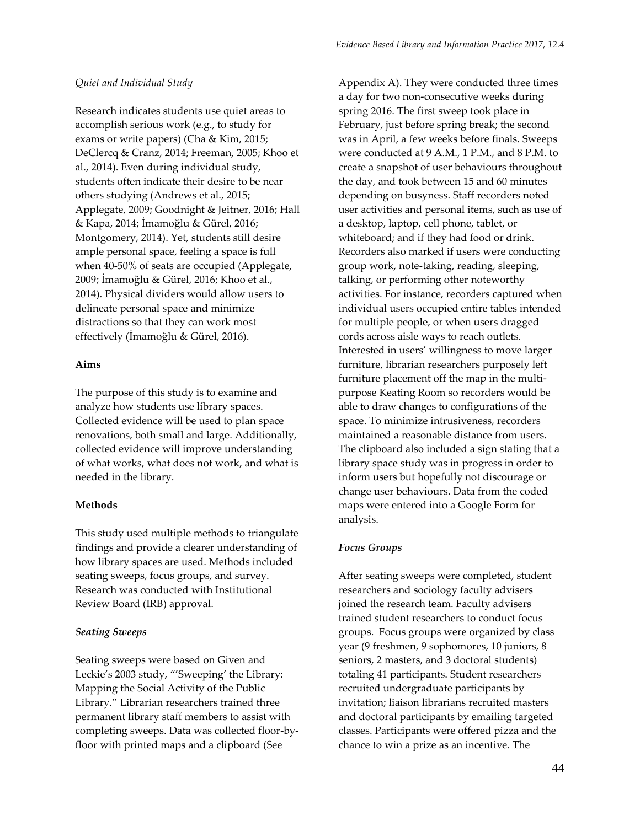#### *Quiet and Individual Study*

Research indicates students use quiet areas to accomplish serious work (e.g., to study for exams or write papers) (Cha & Kim, 2015; DeClercq & Cranz, 2014; Freeman, 2005; Khoo et al., 2014). Even during individual study, students often indicate their desire to be near others studying (Andrews et al., 2015; Applegate, 2009; Goodnight & Jeitner, 2016; Hall & Kapa, 2014; İmamoğlu & Gürel, 2016; Montgomery, 2014). Yet, students still desire ample personal space, feeling a space is full when 40-50% of seats are occupied (Applegate, 2009; İmamoğlu & Gürel, 2016; Khoo et al., 2014). Physical dividers would allow users to delineate personal space and minimize distractions so that they can work most effectively (İmamoğlu & Gürel, 2016).

#### **Aims**

The purpose of this study is to examine and analyze how students use library spaces. Collected evidence will be used to plan space renovations, both small and large. Additionally, collected evidence will improve understanding of what works, what does not work, and what is needed in the library.

#### **Methods**

This study used multiple methods to triangulate findings and provide a clearer understanding of how library spaces are used. Methods included seating sweeps, focus groups, and survey. Research was conducted with Institutional Review Board (IRB) approval.

#### *Seating Sweeps*

Seating sweeps were based on Given and Leckie's 2003 study, "'Sweeping' the Library: Mapping the Social Activity of the Public Library." Librarian researchers trained three permanent library staff members to assist with completing sweeps. Data was collected floor-byfloor with printed maps and a clipboard (See

Appendix A). They were conducted three times a day for two non-consecutive weeks during spring 2016. The first sweep took place in February, just before spring break; the second was in April, a few weeks before finals. Sweeps were conducted at 9 A.M., 1 P.M., and 8 P.M. to create a snapshot of user behaviours throughout the day, and took between 15 and 60 minutes depending on busyness. Staff recorders noted user activities and personal items, such as use of a desktop, laptop, cell phone, tablet, or whiteboard; and if they had food or drink. Recorders also marked if users were conducting group work, note-taking, reading, sleeping, talking, or performing other noteworthy activities. For instance, recorders captured when individual users occupied entire tables intended for multiple people, or when users dragged cords across aisle ways to reach outlets. Interested in users' willingness to move larger furniture, librarian researchers purposely left furniture placement off the map in the multipurpose Keating Room so recorders would be able to draw changes to configurations of the space. To minimize intrusiveness, recorders maintained a reasonable distance from users. The clipboard also included a sign stating that a library space study was in progress in order to inform users but hopefully not discourage or change user behaviours. Data from the coded maps were entered into a Google Form for analysis.

#### *Focus Groups*

After seating sweeps were completed, student researchers and sociology faculty advisers joined the research team. Faculty advisers trained student researchers to conduct focus groups. Focus groups were organized by class year (9 freshmen, 9 sophomores, 10 juniors, 8 seniors, 2 masters, and 3 doctoral students) totaling 41 participants. Student researchers recruited undergraduate participants by invitation; liaison librarians recruited masters and doctoral participants by emailing targeted classes. Participants were offered pizza and the chance to win a prize as an incentive. The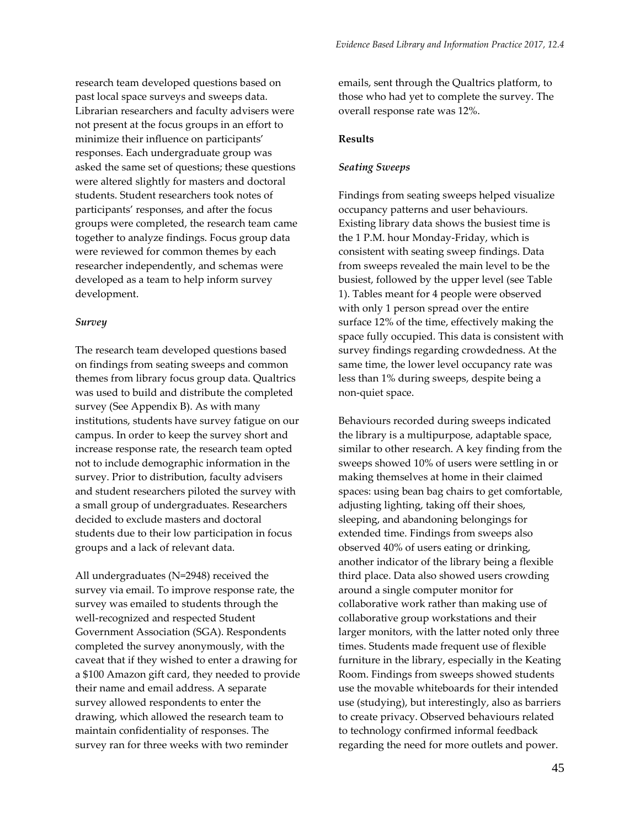research team developed questions based on past local space surveys and sweeps data. Librarian researchers and faculty advisers were not present at the focus groups in an effort to minimize their influence on participants' responses. Each undergraduate group was asked the same set of questions; these questions were altered slightly for masters and doctoral students. Student researchers took notes of participants' responses, and after the focus groups were completed, the research team came together to analyze findings. Focus group data were reviewed for common themes by each researcher independently, and schemas were developed as a team to help inform survey development.

#### *Survey*

The research team developed questions based on findings from seating sweeps and common themes from library focus group data. Qualtrics was used to build and distribute the completed survey (See Appendix B). As with many institutions, students have survey fatigue on our campus. In order to keep the survey short and increase response rate, the research team opted not to include demographic information in the survey. Prior to distribution, faculty advisers and student researchers piloted the survey with a small group of undergraduates. Researchers decided to exclude masters and doctoral students due to their low participation in focus groups and a lack of relevant data.

All undergraduates (N=2948) received the survey via email. To improve response rate, the survey was emailed to students through the well-recognized and respected Student Government Association (SGA). Respondents completed the survey anonymously, with the caveat that if they wished to enter a drawing for a \$100 Amazon gift card, they needed to provide their name and email address. A separate survey allowed respondents to enter the drawing, which allowed the research team to maintain confidentiality of responses. The survey ran for three weeks with two reminder

emails, sent through the Qualtrics platform, to those who had yet to complete the survey. The overall response rate was 12%.

#### **Results**

#### *Seating Sweeps*

Findings from seating sweeps helped visualize occupancy patterns and user behaviours. Existing library data shows the busiest time is the 1 P.M. hour Monday-Friday, which is consistent with seating sweep findings. Data from sweeps revealed the main level to be the busiest, followed by the upper level (see Table 1). Tables meant for 4 people were observed with only 1 person spread over the entire surface 12% of the time, effectively making the space fully occupied. This data is consistent with survey findings regarding crowdedness. At the same time, the lower level occupancy rate was less than 1% during sweeps, despite being a non-quiet space.

Behaviours recorded during sweeps indicated the library is a multipurpose, adaptable space, similar to other research. A key finding from the sweeps showed 10% of users were settling in or making themselves at home in their claimed spaces: using bean bag chairs to get comfortable, adjusting lighting, taking off their shoes, sleeping, and abandoning belongings for extended time. Findings from sweeps also observed 40% of users eating or drinking, another indicator of the library being a flexible third place. Data also showed users crowding around a single computer monitor for collaborative work rather than making use of collaborative group workstations and their larger monitors, with the latter noted only three times. Students made frequent use of flexible furniture in the library, especially in the Keating Room. Findings from sweeps showed students use the movable whiteboards for their intended use (studying), but interestingly, also as barriers to create privacy. Observed behaviours related to technology confirmed informal feedback regarding the need for more outlets and power.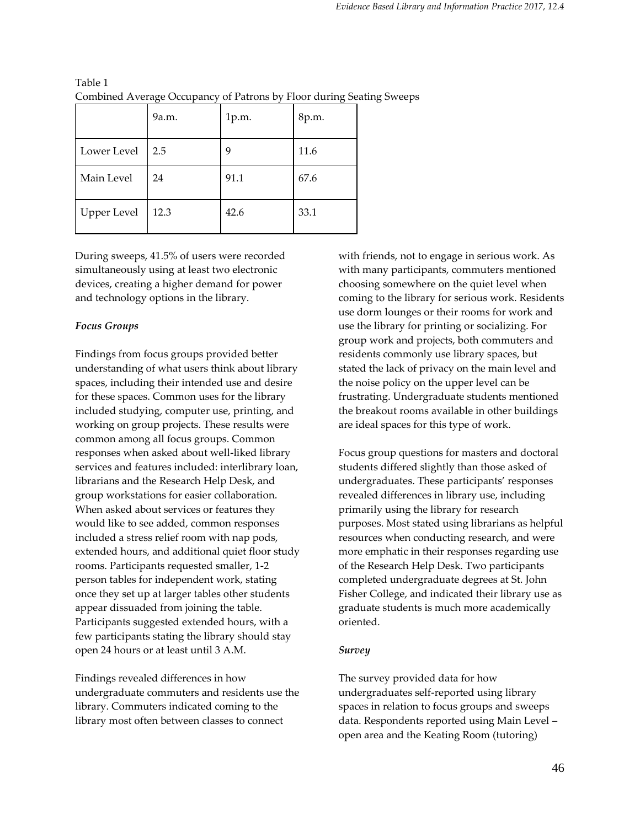|                    | 9a.m. | 1p.m. | 8p.m. |
|--------------------|-------|-------|-------|
| Lower Level        | 2.5   | 9     | 11.6  |
| Main Level         | 24    | 91.1  | 67.6  |
| <b>Upper Level</b> | 12.3  | 42.6  | 33.1  |

### Table 1 Combined Average Occupancy of Patrons by Floor during Seating Sweeps

During sweeps, 41.5% of users were recorded simultaneously using at least two electronic devices, creating a higher demand for power and technology options in the library.

#### *Focus Groups*

Findings from focus groups provided better understanding of what users think about library spaces, including their intended use and desire for these spaces. Common uses for the library included studying, computer use, printing, and working on group projects. These results were common among all focus groups. Common responses when asked about well-liked library services and features included: interlibrary loan, librarians and the Research Help Desk, and group workstations for easier collaboration. When asked about services or features they would like to see added, common responses included a stress relief room with nap pods, extended hours, and additional quiet floor study rooms. Participants requested smaller, 1-2 person tables for independent work, stating once they set up at larger tables other students appear dissuaded from joining the table. Participants suggested extended hours, with a few participants stating the library should stay open 24 hours or at least until 3 A.M.

Findings revealed differences in how undergraduate commuters and residents use the library. Commuters indicated coming to the library most often between classes to connect

with friends, not to engage in serious work. As with many participants, commuters mentioned choosing somewhere on the quiet level when coming to the library for serious work. Residents use dorm lounges or their rooms for work and use the library for printing or socializing. For group work and projects, both commuters and residents commonly use library spaces, but stated the lack of privacy on the main level and the noise policy on the upper level can be frustrating. Undergraduate students mentioned the breakout rooms available in other buildings are ideal spaces for this type of work.

Focus group questions for masters and doctoral students differed slightly than those asked of undergraduates. These participants' responses revealed differences in library use, including primarily using the library for research purposes. Most stated using librarians as helpful resources when conducting research, and were more emphatic in their responses regarding use of the Research Help Desk. Two participants completed undergraduate degrees at St. John Fisher College, and indicated their library use as graduate students is much more academically oriented.

#### *Survey*

The survey provided data for how undergraduates self-reported using library spaces in relation to focus groups and sweeps data. Respondents reported using Main Level – open area and the Keating Room (tutoring)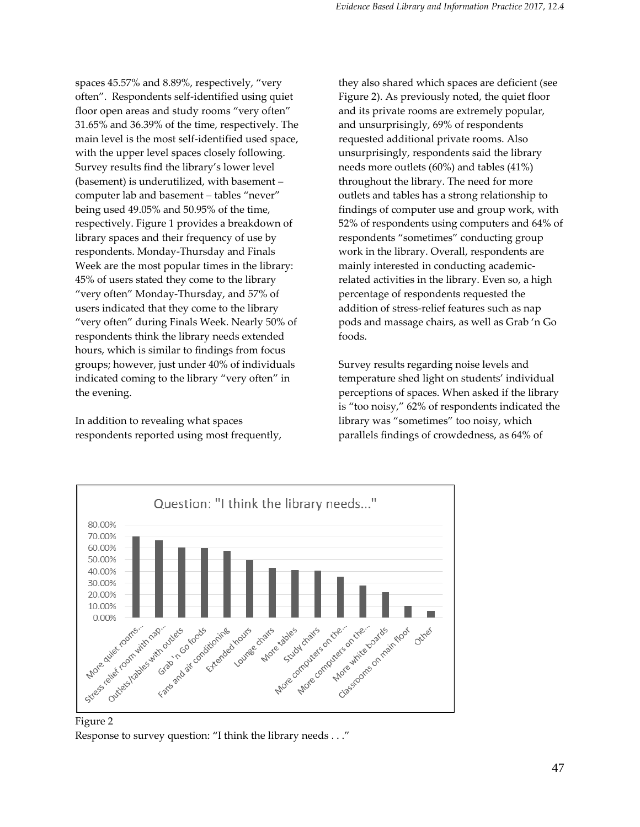spaces 45.57% and 8.89%, respectively, "very often". Respondents self-identified using quiet floor open areas and study rooms "very often" 31.65% and 36.39% of the time, respectively. The main level is the most self-identified used space, with the upper level spaces closely following. Survey results find the library's lower level (basement) is underutilized, with basement – computer lab and basement – tables "never" being used 49.05% and 50.95% of the time, respectively. Figure 1 provides a breakdown of library spaces and their frequency of use by respondents. Monday-Thursday and Finals Week are the most popular times in the library: 45% of users stated they come to the library "very often" Monday-Thursday, and 57% of users indicated that they come to the library "very often" during Finals Week. Nearly 50% of respondents think the library needs extended hours, which is similar to findings from focus groups; however, just under 40% of individuals indicated coming to the library "very often" in the evening.

In addition to revealing what spaces respondents reported using most frequently, they also shared which spaces are deficient (see Figure 2). As previously noted, the quiet floor and its private rooms are extremely popular, and unsurprisingly, 69% of respondents requested additional private rooms. Also unsurprisingly, respondents said the library needs more outlets (60%) and tables (41%) throughout the library. The need for more outlets and tables has a strong relationship to findings of computer use and group work, with 52% of respondents using computers and 64% of respondents "sometimes" conducting group work in the library. Overall, respondents are mainly interested in conducting academicrelated activities in the library. Even so, a high percentage of respondents requested the addition of stress-relief features such as nap pods and massage chairs, as well as Grab 'n Go foods.

Survey results regarding noise levels and temperature shed light on students' individual perceptions of spaces. When asked if the library is "too noisy," 62% of respondents indicated the library was "sometimes" too noisy, which parallels findings of crowdedness, as 64% of



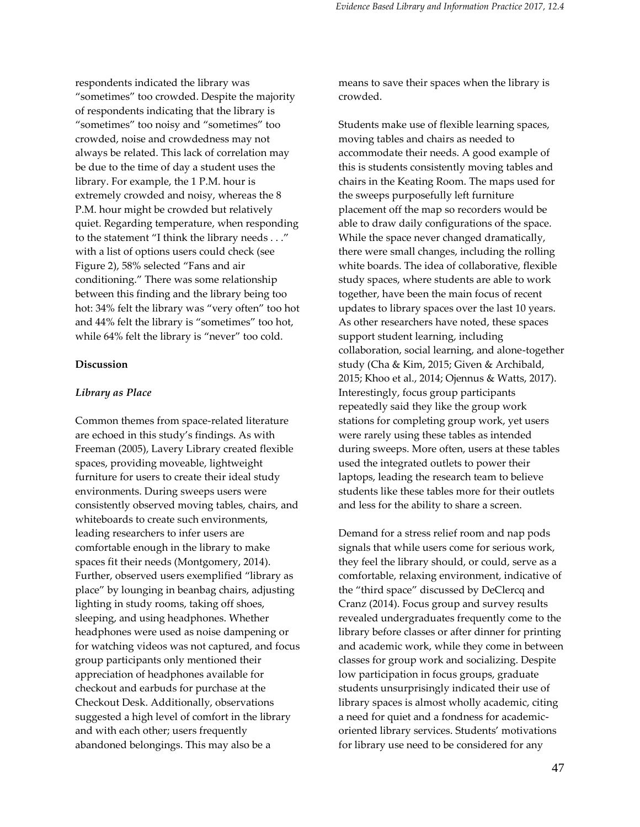respondents indicated the library was "sometimes" too crowded. Despite the majority of respondents indicating that the library is "sometimes" too noisy and "sometimes" too crowded, noise and crowdedness may not always be related. This lack of correlation may be due to the time of day a student uses the library. For example, the 1 P.M. hour is extremely crowded and noisy, whereas the 8 P.M. hour might be crowded but relatively quiet. Regarding temperature, when responding to the statement "I think the library needs . . ." with a list of options users could check (see Figure 2), 58% selected "Fans and air conditioning." There was some relationship between this finding and the library being too hot: 34% felt the library was "very often" too hot and 44% felt the library is "sometimes" too hot, while 64% felt the library is "never" too cold.

#### **Discussion**

#### *Library as Place*

Common themes from space-related literature are echoed in this study's findings. As with Freeman (2005), Lavery Library created flexible spaces, providing moveable, lightweight furniture for users to create their ideal study environments. During sweeps users were consistently observed moving tables, chairs, and whiteboards to create such environments, leading researchers to infer users are comfortable enough in the library to make spaces fit their needs (Montgomery, 2014). Further, observed users exemplified "library as place" by lounging in beanbag chairs, adjusting lighting in study rooms, taking off shoes, sleeping, and using headphones. Whether headphones were used as noise dampening or for watching videos was not captured, and focus group participants only mentioned their appreciation of headphones available for checkout and earbuds for purchase at the Checkout Desk. Additionally, observations suggested a high level of comfort in the library and with each other; users frequently abandoned belongings. This may also be a

means to save their spaces when the library is crowded.

Students make use of flexible learning spaces, moving tables and chairs as needed to accommodate their needs. A good example of this is students consistently moving tables and chairs in the Keating Room. The maps used for the sweeps purposefully left furniture placement off the map so recorders would be able to draw daily configurations of the space. While the space never changed dramatically, there were small changes, including the rolling white boards. The idea of collaborative, flexible study spaces, where students are able to work together, have been the main focus of recent updates to library spaces over the last 10 years. As other researchers have noted, these spaces support student learning, including collaboration, social learning, and alone-together study (Cha & Kim, 2015; Given & Archibald, 2015; Khoo et al., 2014; Ojennus & Watts, 2017). Interestingly, focus group participants repeatedly said they like the group work stations for completing group work, yet users were rarely using these tables as intended during sweeps. More often, users at these tables used the integrated outlets to power their laptops, leading the research team to believe students like these tables more for their outlets and less for the ability to share a screen.

Demand for a stress relief room and nap pods signals that while users come for serious work, they feel the library should, or could, serve as a comfortable, relaxing environment, indicative of the "third space" discussed by DeClercq and Cranz (2014). Focus group and survey results revealed undergraduates frequently come to the library before classes or after dinner for printing and academic work, while they come in between classes for group work and socializing. Despite low participation in focus groups, graduate students unsurprisingly indicated their use of library spaces is almost wholly academic, citing a need for quiet and a fondness for academicoriented library services. Students' motivations for library use need to be considered for any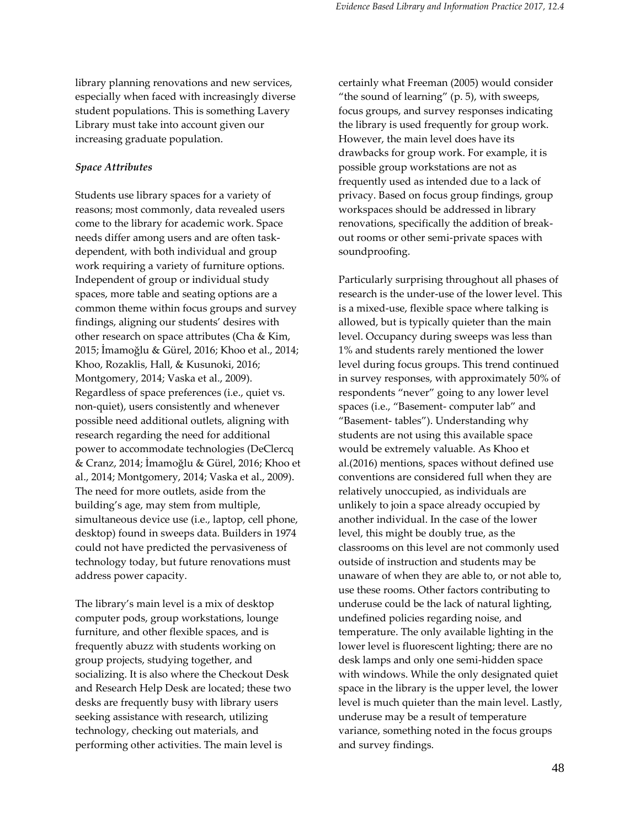library planning renovations and new services, especially when faced with increasingly diverse student populations. This is something Lavery Library must take into account given our increasing graduate population.

#### *Space Attributes*

Students use library spaces for a variety of reasons; most commonly, data revealed users come to the library for academic work. Space needs differ among users and are often taskdependent, with both individual and group work requiring a variety of furniture options. Independent of group or individual study spaces, more table and seating options are a common theme within focus groups and survey findings, aligning our students' desires with other research on space attributes (Cha & Kim, 2015; İmamoğlu & Gürel, 2016; Khoo et al., 2014; Khoo, Rozaklis, Hall, & Kusunoki, 2016; Montgomery, 2014; Vaska et al., 2009). Regardless of space preferences (i.e., quiet vs. non-quiet), users consistently and whenever possible need additional outlets, aligning with research regarding the need for additional power to accommodate technologies (DeClercq & Cranz, 2014; İmamoğlu & Gürel, 2016; Khoo et al., 2014; Montgomery, 2014; Vaska et al., 2009). The need for more outlets, aside from the building's age, may stem from multiple, simultaneous device use (i.e., laptop, cell phone, desktop) found in sweeps data. Builders in 1974 could not have predicted the pervasiveness of technology today, but future renovations must address power capacity.

The library's main level is a mix of desktop computer pods, group workstations, lounge furniture, and other flexible spaces, and is frequently abuzz with students working on group projects, studying together, and socializing. It is also where the Checkout Desk and Research Help Desk are located; these two desks are frequently busy with library users seeking assistance with research, utilizing technology, checking out materials, and performing other activities. The main level is

certainly what Freeman (2005) would consider "the sound of learning" (p. 5), with sweeps, focus groups, and survey responses indicating the library is used frequently for group work. However, the main level does have its drawbacks for group work. For example, it is possible group workstations are not as frequently used as intended due to a lack of privacy. Based on focus group findings, group workspaces should be addressed in library renovations, specifically the addition of breakout rooms or other semi-private spaces with soundproofing.

Particularly surprising throughout all phases of research is the under-use of the lower level. This is a mixed-use, flexible space where talking is allowed, but is typically quieter than the main level. Occupancy during sweeps was less than 1% and students rarely mentioned the lower level during focus groups. This trend continued in survey responses, with approximately 50% of respondents "never" going to any lower level spaces (i.e., "Basement- computer lab" and "Basement- tables"). Understanding why students are not using this available space would be extremely valuable. As Khoo et al.(2016) mentions, spaces without defined use conventions are considered full when they are relatively unoccupied, as individuals are unlikely to join a space already occupied by another individual. In the case of the lower level, this might be doubly true, as the classrooms on this level are not commonly used outside of instruction and students may be unaware of when they are able to, or not able to, use these rooms. Other factors contributing to underuse could be the lack of natural lighting, undefined policies regarding noise, and temperature. The only available lighting in the lower level is fluorescent lighting; there are no desk lamps and only one semi-hidden space with windows. While the only designated quiet space in the library is the upper level, the lower level is much quieter than the main level. Lastly, underuse may be a result of temperature variance, something noted in the focus groups and survey findings.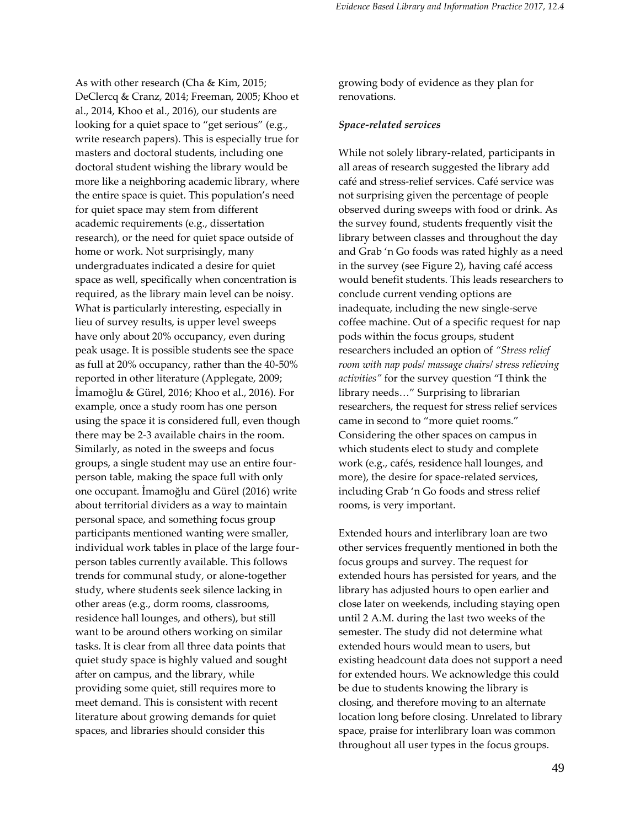As with other research (Cha & Kim, 2015; DeClercq & Cranz, 2014; Freeman, 2005; Khoo et al., 2014, Khoo et al., 2016), our students are looking for a quiet space to "get serious" (e.g., write research papers). This is especially true for masters and doctoral students, including one doctoral student wishing the library would be more like a neighboring academic library, where the entire space is quiet. This population's need for quiet space may stem from different academic requirements (e.g., dissertation research), or the need for quiet space outside of home or work. Not surprisingly, many undergraduates indicated a desire for quiet space as well, specifically when concentration is required, as the library main level can be noisy. What is particularly interesting, especially in lieu of survey results, is upper level sweeps have only about 20% occupancy, even during peak usage. It is possible students see the space as full at 20% occupancy, rather than the 40-50% reported in other literature (Applegate, 2009; İmamoğlu & Gürel, 2016; Khoo et al., 2016). For example, once a study room has one person using the space it is considered full, even though there may be 2-3 available chairs in the room. Similarly, as noted in the sweeps and focus groups, a single student may use an entire fourperson table, making the space full with only one occupant. İmamoğlu and Gürel (2016) write about territorial dividers as a way to maintain personal space, and something focus group participants mentioned wanting were smaller, individual work tables in place of the large fourperson tables currently available. This follows trends for communal study, or alone-together study, where students seek silence lacking in other areas (e.g., dorm rooms, classrooms, residence hall lounges, and others), but still want to be around others working on similar tasks. It is clear from all three data points that quiet study space is highly valued and sought after on campus, and the library, while providing some quiet, still requires more to meet demand. This is consistent with recent literature about growing demands for quiet spaces, and libraries should consider this

growing body of evidence as they plan for renovations.

#### *Space-related services*

While not solely library-related, participants in all areas of research suggested the library add café and stress-relief services. Café service was not surprising given the percentage of people observed during sweeps with food or drink. As the survey found, students frequently visit the library between classes and throughout the day and Grab 'n Go foods was rated highly as a need in the survey (see Figure 2), having café access would benefit students. This leads researchers to conclude current vending options are inadequate, including the new single-serve coffee machine. Out of a specific request for nap pods within the focus groups, student researchers included an option of *"Stress relief room with nap pods/ massage chairs/ stress relieving activities"* for the survey question "I think the library needs…" Surprising to librarian researchers, the request for stress relief services came in second to "more quiet rooms." Considering the other spaces on campus in which students elect to study and complete work (e.g., cafés, residence hall lounges, and more), the desire for space-related services, including Grab 'n Go foods and stress relief rooms, is very important.

Extended hours and interlibrary loan are two other services frequently mentioned in both the focus groups and survey. The request for extended hours has persisted for years, and the library has adjusted hours to open earlier and close later on weekends, including staying open until 2 A.M. during the last two weeks of the semester. The study did not determine what extended hours would mean to users, but existing headcount data does not support a need for extended hours. We acknowledge this could be due to students knowing the library is closing, and therefore moving to an alternate location long before closing. Unrelated to library space, praise for interlibrary loan was common throughout all user types in the focus groups.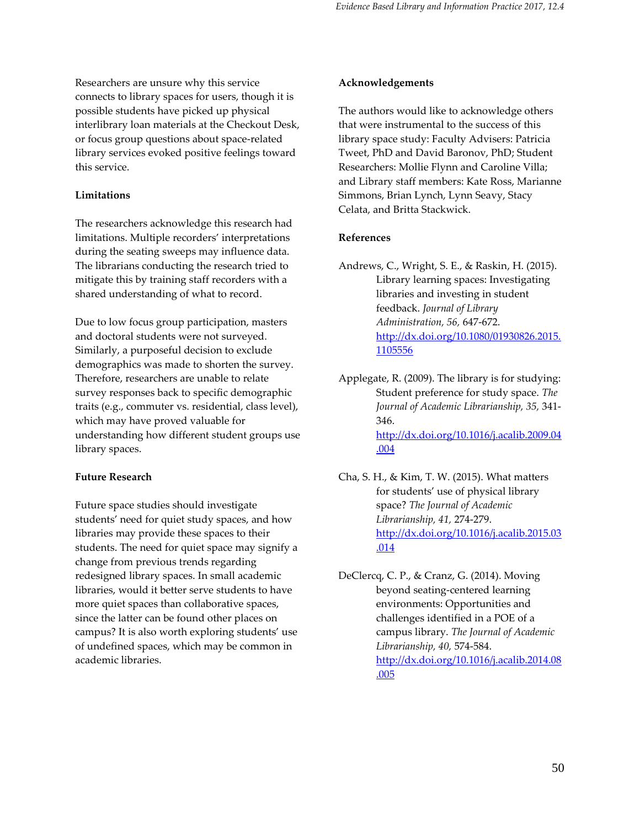Researchers are unsure why this service connects to library spaces for users, though it is possible students have picked up physical interlibrary loan materials at the Checkout Desk, or focus group questions about space-related library services evoked positive feelings toward this service.

#### **Limitations**

The researchers acknowledge this research had limitations. Multiple recorders' interpretations during the seating sweeps may influence data. The librarians conducting the research tried to mitigate this by training staff recorders with a shared understanding of what to record.

Due to low focus group participation, masters and doctoral students were not surveyed. Similarly, a purposeful decision to exclude demographics was made to shorten the survey. Therefore, researchers are unable to relate survey responses back to specific demographic traits (e.g., commuter vs. residential, class level), which may have proved valuable for understanding how different student groups use library spaces.

#### **Future Research**

Future space studies should investigate students' need for quiet study spaces, and how libraries may provide these spaces to their students. The need for quiet space may signify a change from previous trends regarding redesigned library spaces. In small academic libraries, would it better serve students to have more quiet spaces than collaborative spaces, since the latter can be found other places on campus? It is also worth exploring students' use of undefined spaces, which may be common in academic libraries.

#### **Acknowledgements**

The authors would like to acknowledge others that were instrumental to the success of this library space study: Faculty Advisers: Patricia Tweet, PhD and David Baronov, PhD; Student Researchers: Mollie Flynn and Caroline Villa; and Library staff members: Kate Ross, Marianne Simmons, Brian Lynch, Lynn Seavy, Stacy Celata, and Britta Stackwick.

#### **References**

Andrews, C., Wright, S. E., & Raskin, H. (2015). Library learning spaces: Investigating libraries and investing in student feedback. *Journal of Library Administration, 56,* 647-672. [http://dx.doi.org/10.1080/01930826.2015.](http://dx.doi.org/10.1080/01930826.2015.1105556) [1105556](http://dx.doi.org/10.1080/01930826.2015.1105556) 

Applegate, R. (2009). The library is for studying: Student preference for study space. *The Journal of Academic Librarianship, 35,* 341- 346. [http://dx.doi.org/10.1016/j.acalib.2009.04](http://dx.doi.org/10.1016/j.acalib.2009.04.004) [.004](http://dx.doi.org/10.1016/j.acalib.2009.04.004)

- Cha, S. H., & Kim, T. W. (2015). What matters for students' use of physical library space? *The Journal of Academic Librarianship, 41,* 274-279. [http://dx.doi.org/10.1016/j.acalib.2015.03](http://dx.doi.org/10.1016/j.acalib.2015.03.014) [.014](http://dx.doi.org/10.1016/j.acalib.2015.03.014)
- DeClercq, C. P., & Cranz, G. (2014). Moving beyond seating-centered learning environments: Opportunities and challenges identified in a POE of a campus library. *The Journal of Academic Librarianship, 40,* 574-584. [http://dx.doi.org/10.1016/j.acalib.2014.08](http://dx.doi.org/10.1016/j.acalib.2014.08.005) [.005](http://dx.doi.org/10.1016/j.acalib.2014.08.005)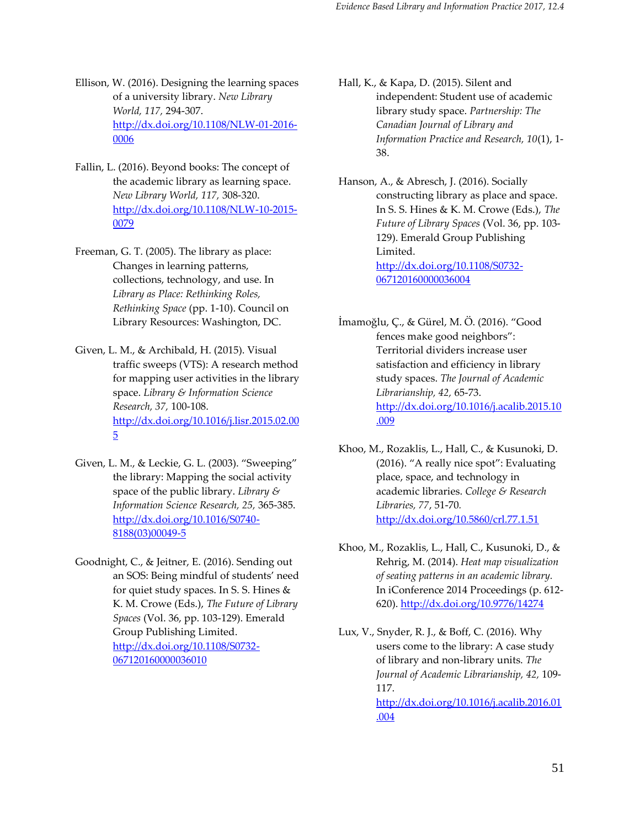- Ellison, W. (2016). Designing the learning spaces of a university library. *New Library World, 117,* 294-307. [http://dx.doi.org/10.1108/NLW-01-2016-](http://dx.doi.org/10.1108/NLW-01-2016-0006) [0006](http://dx.doi.org/10.1108/NLW-01-2016-0006)
- Fallin, L. (2016). Beyond books: The concept of the academic library as learning space. *New Library World, 117,* 308-320. [http://dx.doi.org/10.1108/NLW-10-2015-](http://dx.doi.org/10.1108/NLW-10-2015-0079) [0079](http://dx.doi.org/10.1108/NLW-10-2015-0079)
- Freeman, G. T. (2005). The library as place: Changes in learning patterns, collections, technology, and use. In *Library as Place: Rethinking Roles, Rethinking Space* (pp. 1-10). Council on Library Resources: Washington, DC.
- Given, L. M., & Archibald, H. (2015). Visual traffic sweeps (VTS): A research method for mapping user activities in the library space. *Library & Information Science Research, 37,* 100-108. [http://dx.doi.org/10.1016/j.lisr.2015.02.00](http://dx.doi.org/10.1016/j.lisr.2015.02.005) [5](http://dx.doi.org/10.1016/j.lisr.2015.02.005)
- Given, L. M., & Leckie, G. L. (2003). "Sweeping" the library: Mapping the social activity space of the public library. *Library & Information Science Research, 25,* 365-385. [http://dx.doi.org/10.1016/S0740-](http://dx.doi.org/10.1016/S0740-8188(03)00049-5) [8188\(03\)00049-5](http://dx.doi.org/10.1016/S0740-8188(03)00049-5)
- Goodnight, C., & Jeitner, E. (2016). Sending out an SOS: Being mindful of students' need for quiet study spaces. In S. S. Hines & K. M. Crowe (Eds.), *The Future of Library Spaces* (Vol. 36, pp. 103-129). Emerald Group Publishing Limited. [http://dx.doi.org/10.1108/S0732-](http://dx.doi.org/10.1108/S0732-067120160000036010) [067120160000036010](http://dx.doi.org/10.1108/S0732-067120160000036010)
- Hall, K., & Kapa, D. (2015). Silent and independent: Student use of academic library study space. *Partnership: The Canadian Journal of Library and Information Practice and Research, 10*(1), 1- 38.
- Hanson, A., & Abresch, J. (2016). Socially constructing library as place and space. In S. S. Hines & K. M. Crowe (Eds.), *The Future of Library Spaces* (Vol. 36, pp. 103- 129). Emerald Group Publishing Limited. [http://dx.doi.org/10.1108/S0732-](http://dx.doi.org/10.1108/S0732-067120160000036004) [067120160000036004](http://dx.doi.org/10.1108/S0732-067120160000036004)
- İmamoğlu, Ç., & Gürel, M. Ö. (2016). "Good fences make good neighbors": Territorial dividers increase user satisfaction and efficiency in library study spaces. *The Journal of Academic Librarianship, 42,* 65-73. [http://dx.doi.org/10.1016/j.acalib.2015.10](http://dx.doi.org/10.1016/j.acalib.2015.10.009) [.009](http://dx.doi.org/10.1016/j.acalib.2015.10.009)
- Khoo, M., Rozaklis, L., Hall, C., & Kusunoki, D. (2016). "A really nice spot": Evaluating place, space, and technology in academic libraries. *College & Research Libraries, 77*, 51-70*.*  <http://dx.doi.org/10.5860/crl.77.1.51>
- Khoo, M., Rozaklis, L., Hall, C., Kusunoki, D., & Rehrig, M. (2014). *Heat map visualization of seating patterns in an academic library.*  In iConference 2014 Proceedings (p. 612- 620).<http://dx.doi.org/10.9776/14274>
- Lux, V., Snyder, R. J., & Boff, C. (2016). Why users come to the library: A case study of library and non-library units. *The Journal of Academic Librarianship, 42,* 109- 117.

[http://dx.doi.org/10.1016/j.acalib.2016.01](http://dx.doi.org/10.1016/j.acalib.2016.01.004) [.004](http://dx.doi.org/10.1016/j.acalib.2016.01.004)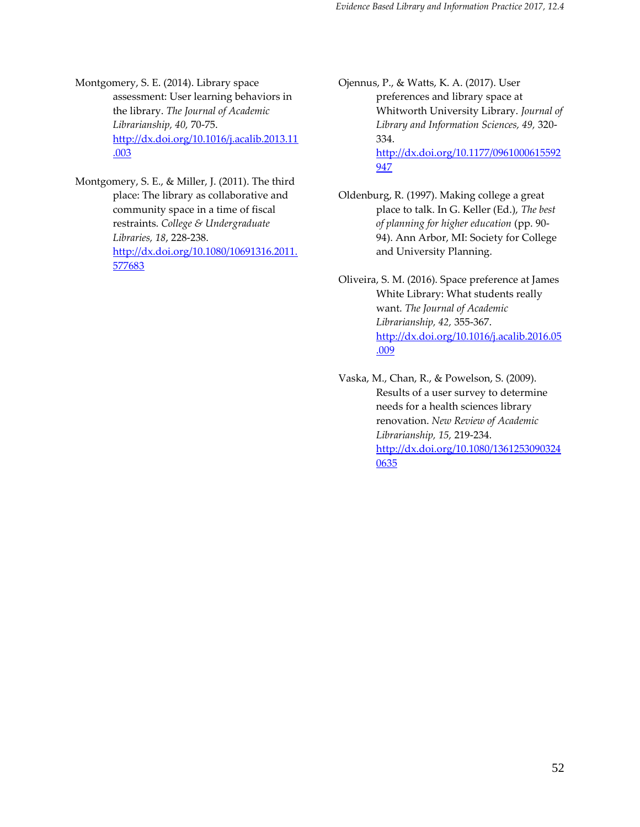Montgomery, S. E. (2014). Library space assessment: User learning behaviors in the library. *The Journal of Academic Librarianship, 40,* 70-75. [http://dx.doi.org/10.1016/j.acalib.2013.11](http://dx.doi.org/10.1016/j.acalib.2013.11.003) [.003](http://dx.doi.org/10.1016/j.acalib.2013.11.003)

Montgomery, S. E., & Miller, J. (2011). The third place: The library as collaborative and community space in a time of fiscal restraints. *College & Undergraduate Libraries, 18*, 228-238. [http://dx.doi.org/10.1080/10691316.2011.](http://dx.doi.org/10.1080/10691316.2011.577683) [577683](http://dx.doi.org/10.1080/10691316.2011.577683)

Ojennus, P., & Watts, K. A. (2017). User preferences and library space at Whitworth University Library. *Journal of Library and Information Sciences, 49,* 320- 334. [http://dx.doi.org/10.1177/0961000615592](http://dx.doi.org/10.1177/0961000615592947) [947](http://dx.doi.org/10.1177/0961000615592947)

Oldenburg, R. (1997). Making college a great place to talk. In G. Keller (Ed.), *The best of planning for higher education* (pp. 90- 94). Ann Arbor, MI: Society for College and University Planning.

Oliveira, S. M. (2016). Space preference at James White Library: What students really want. *The Journal of Academic Librarianship, 42,* 355-367. [http://dx.doi.org/10.1016/j.acalib.2016.05](http://dx.doi.org/10.1016/j.acalib.2016.05.009) [.009](http://dx.doi.org/10.1016/j.acalib.2016.05.009)

Vaska, M., Chan, R., & Powelson, S. (2009). Results of a user survey to determine needs for a health sciences library renovation. *New Review of Academic Librarianship, 15,* 219-234. [http://dx.doi.org/10.1080/1361253090324](http://dx.doi.org/10.1080/13612530903240635) [0635](http://dx.doi.org/10.1080/13612530903240635)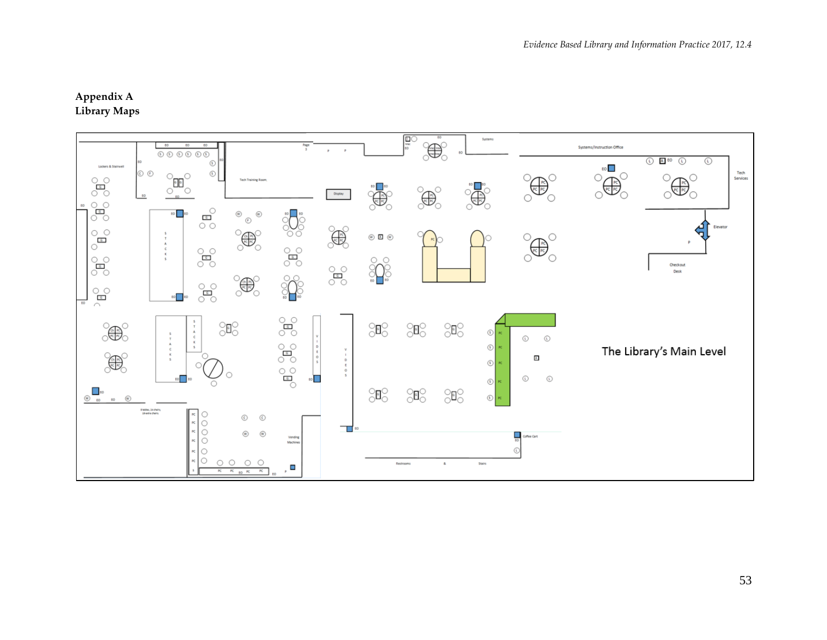

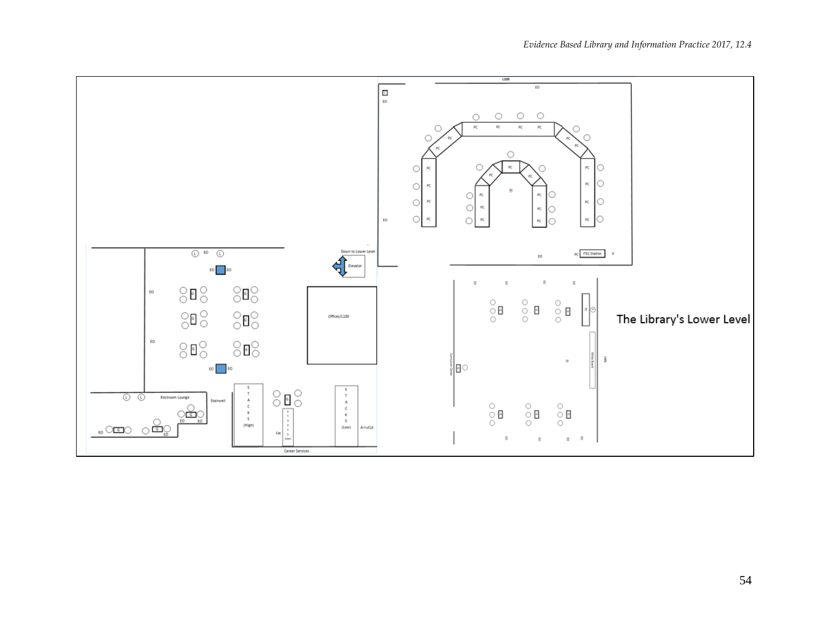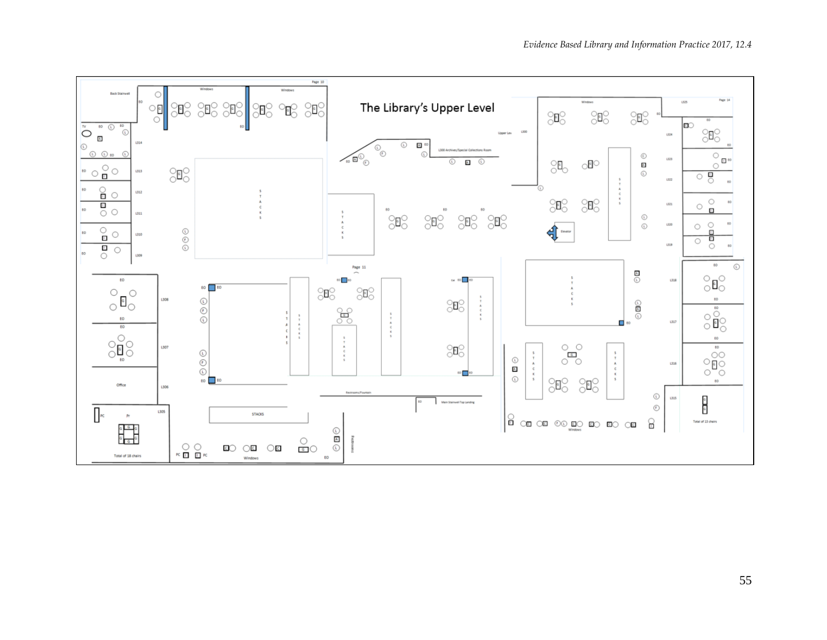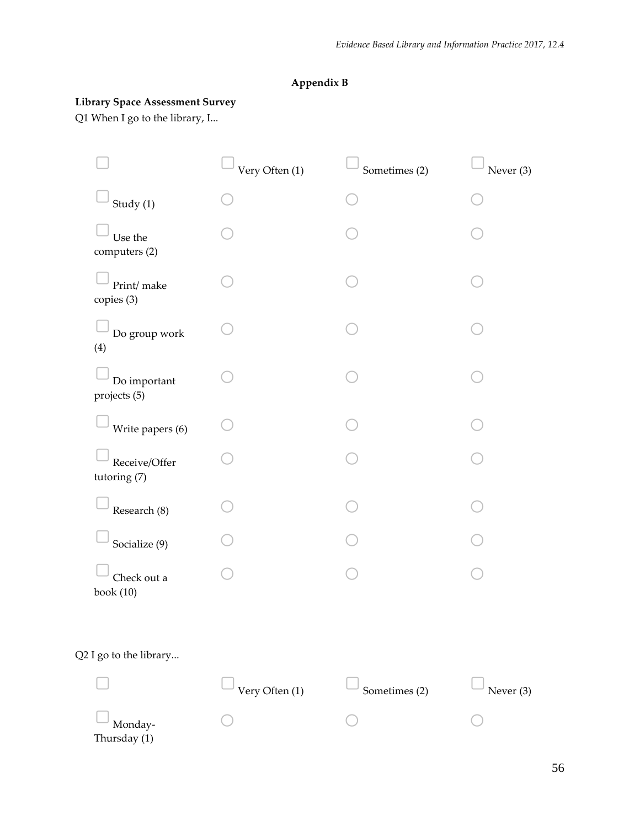## **Appendix B**

## **Library Space Assessment Survey**

Q1 When I go to the library, I...

Thursday (1)

|                               | Very Often (1) | Sometimes (2) | Never (3) |
|-------------------------------|----------------|---------------|-----------|
| Study (1)                     |                |               |           |
| Use the<br>computers (2)      |                |               |           |
| Print/make<br>copies (3)      |                |               |           |
| Do group work<br>(4)          |                |               |           |
| Do important<br>projects (5)  |                |               |           |
| Write papers (6)              |                |               |           |
| Receive/Offer<br>tutoring (7) |                |               |           |
| Research (8)                  |                |               |           |
| Socialize (9)                 |                |               |           |
| Check out a<br>book (10)      |                |               |           |
| Q2 I go to the library        |                |               |           |
|                               | Very Often (1) | Sometimes (2) | Never (3) |
| Monday-                       |                |               |           |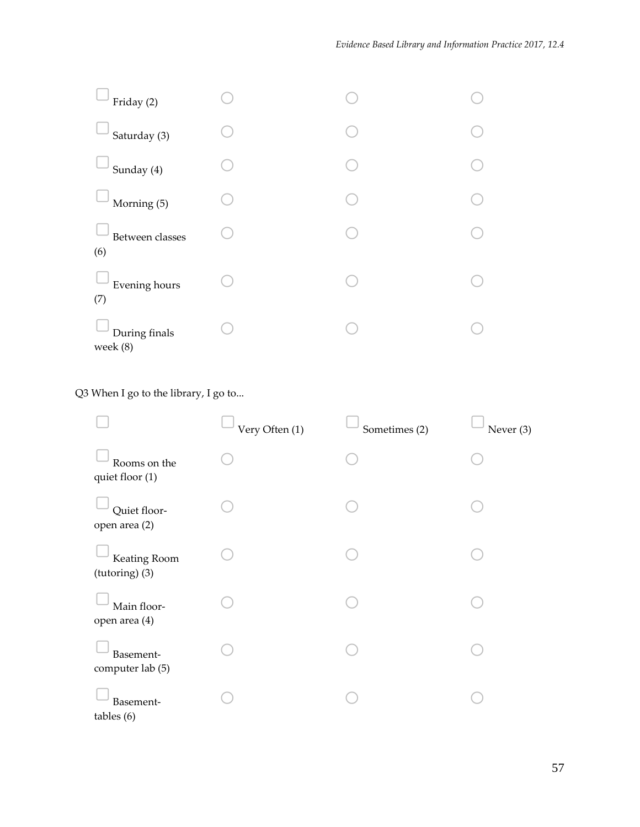| Friday (2)                  |  |  |
|-----------------------------|--|--|
| Saturday (3)                |  |  |
| Sunday (4)                  |  |  |
| Morning (5)                 |  |  |
| Between classes<br>(6)      |  |  |
| Evening hours<br>(7)        |  |  |
| During finals<br>week $(8)$ |  |  |

## Q3 When I go to the library, I go to...

|                                 | Very Often (1) | Sometimes (2) | Never $(3)$ |
|---------------------------------|----------------|---------------|-------------|
| Rooms on the<br>quiet floor (1) |                |               |             |
| Quiet floor-<br>open area (2)   |                |               |             |
| Keating Room<br>(tutoring) (3)  |                |               |             |
| Main floor-<br>open area (4)    |                |               |             |
| Basement-<br>computer lab (5)   |                |               |             |
| Basement-<br>tables $(6)$       |                |               |             |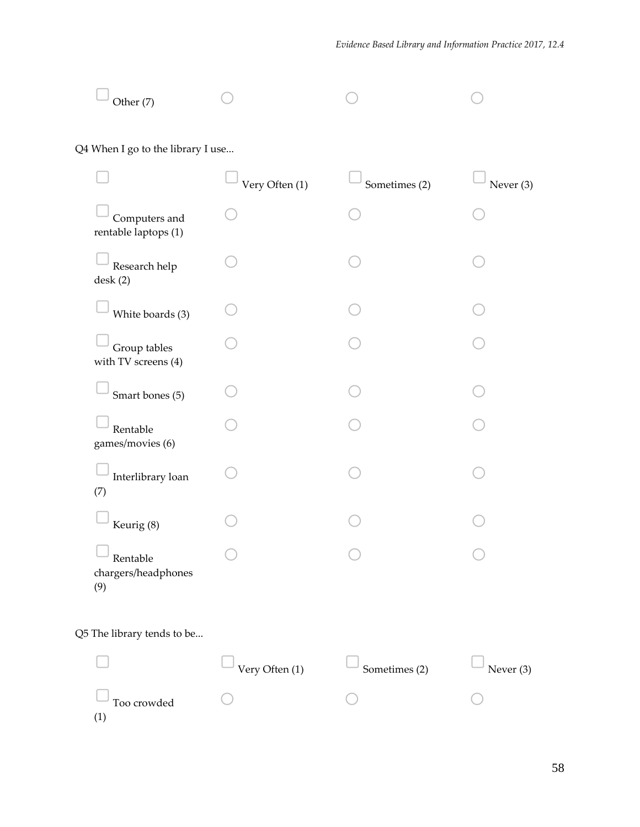## Q4 When I go to the library I use...

|                                        | Very Often (1) | Sometimes (2) | Never (3) |
|----------------------------------------|----------------|---------------|-----------|
| Computers and<br>rentable laptops (1)  |                |               |           |
| Research help<br>$\text{desk}(2)$      |                |               |           |
| White boards (3)                       |                |               |           |
| Group tables<br>with TV screens (4)    |                |               |           |
| Smart bones (5)                        |                |               |           |
| Rentable<br>games/movies (6)           |                |               |           |
| Interlibrary loan<br>(7)               |                |               |           |
| Keurig (8)                             |                |               |           |
| Rentable<br>chargers/headphones<br>(9) |                |               |           |

## Q5 The library tends to be...

|             | Very Often (1) | Sometimes (2) | Never $(3)$ |
|-------------|----------------|---------------|-------------|
| Too crowded |                |               |             |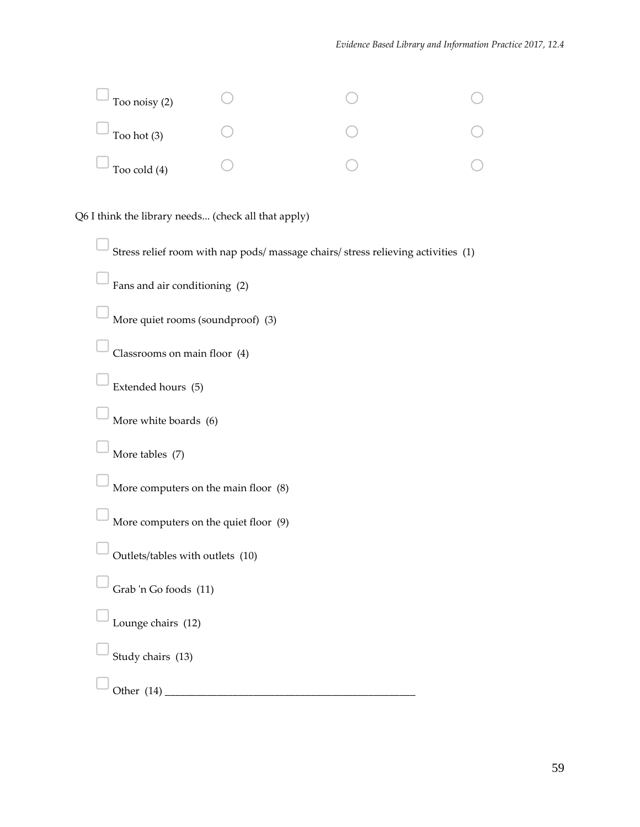| Too noisy (2) |  |  |
|---------------|--|--|
| Too hot $(3)$ |  |  |
| Too cold (4)  |  |  |

Q6 I think the library needs... (check all that apply)

| Stress relief room with nap pods/ massage chairs/ stress relieving activities (1) |
|-----------------------------------------------------------------------------------|
| Fans and air conditioning (2)                                                     |
| More quiet rooms (soundproof) (3)                                                 |
| Classrooms on main floor (4)                                                      |
| Extended hours (5)                                                                |
| More white boards (6)                                                             |
| More tables (7)                                                                   |
| More computers on the main floor (8)                                              |
| More computers on the quiet floor (9)                                             |
| Outlets/tables with outlets (10)                                                  |
| Grab 'n Go foods (11)                                                             |
| Lounge chairs (12)                                                                |
| Study chairs (13)                                                                 |
| Other $(14)$                                                                      |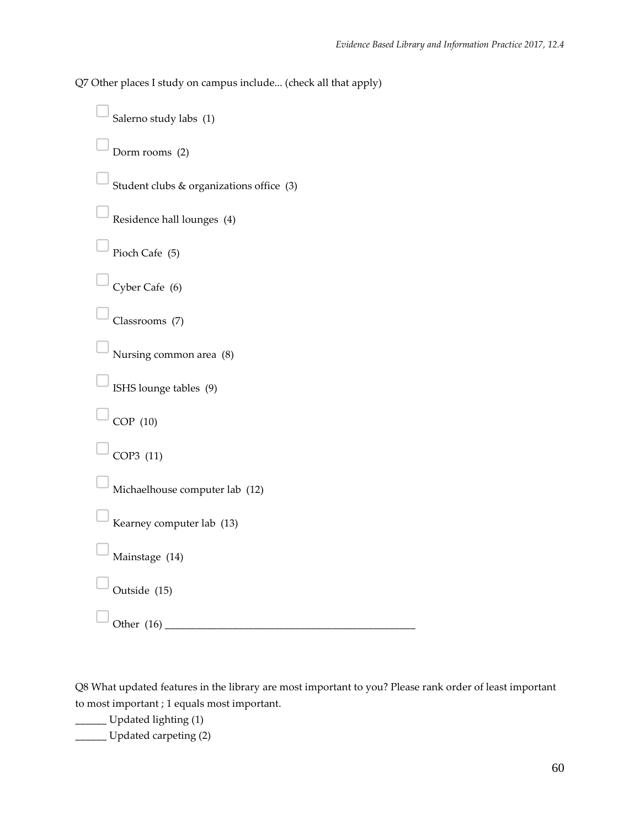Q7 Other places I study on campus include... (check all that apply)

Salerno study labs (1) ▢Dorm rooms (2) Student clubs & organizations office (3) ▢Residence hall lounges (4) Pioch Cafe (5) ▢Cyber Cafe (6) ▢Classrooms (7) ▢Nursing common area (8) ▢ISHS lounge tables (9) ▢COP (10) ▢COP3 (11) Michaelhouse computer lab (12) ▢Kearney computer lab (13) ▢Mainstage (14) ▢Outside (15) ▢Other (16) \_\_\_\_\_\_\_\_\_\_\_\_\_\_\_\_\_\_\_\_\_\_\_\_\_\_\_\_\_\_\_\_\_\_\_\_\_\_\_\_\_\_\_\_\_\_\_\_

Q8 What updated features in the library are most important to you? Please rank order of least important to most important ; 1 equals most important.

\_\_\_\_\_\_ Updated lighting (1)

\_\_\_\_\_\_ Updated carpeting (2)